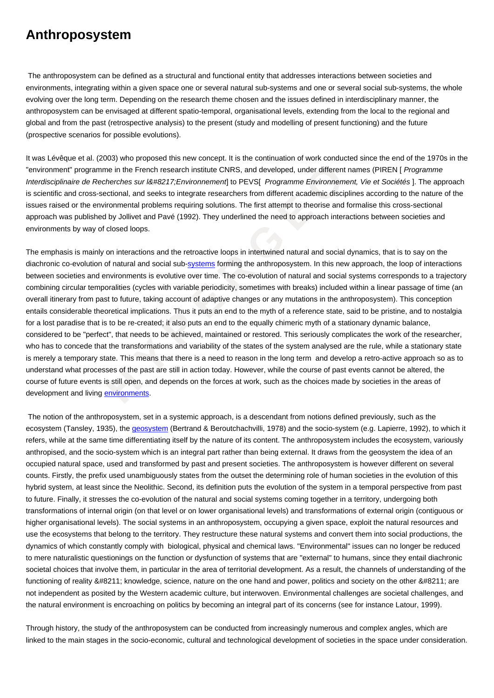**Anthroposystem**

 The anthroposystem can be defined as a structural and functional entity that addresses interactions between societies and environments, integrating within a given space one or several natural sub-systems and one or several social sub-systems, the whole evolving over the long term. Depending on the research theme chosen and the issues defined in interdisciplinary manner, the anthroposystem can be envisaged at different spatio-temporal, organisational levels, extending from the local to the regional and global and from the past (retrospective analysis) to the present (study and modelling of present functioning) and the future (prospective scenarios for possible evolutions).

It was Lévêque et al. (2003) who proposed this new concept. It is the continuation of work conducted since the end of the 1970s in the "environment" programme in the French research institute CNRS, and developed, under different names (PIREN [ Programme Interdisciplinaire de Recherches sur I' Environnement to PEVS[ Programme Environnement, Vie et Sociétés]. The approach is scientific and cross-sectional, and seeks to integrate researchers from different academic disciplines according to the nature of the issues raised or the environmental problems requiring solutions. The first attempt to theorise and formalise this cross-sectional approach was published by Jollivet and Pavé (1992). They underlined the need to approach interactions between societies and environments by way of closed loops.

ogramme in the French research institute CNRS, and developed, under different nare of *B* Recherches sur iᡉ Environnement of DEVS[ [P](https://wiki.parisgeo.cnrs.fr/?p=182)rogramme [E](https://wiki.parisgeo.cnrs.fr/?p=182)nvironnement, ross-sectional, and seeks to integrate researchers from diff The emphasis is mainly on interactions and the retroactive loops in intertwined natural and social dynamics, that is to say on the diachronic co-evolution of natural and social sub-systems forming the anthroposystem. In this new approach, the loop of interactions between societies and environments is evolutive over time. The co-evolution of natural and social systems corresponds to a trajectory combining circular temporalities (cycles with variable periodicity, sometimes with breaks) included within a linear passage of time (an overall itinerary from past to future, taking account of adaptive changes or any mutations in the anthroposystem). This conception entails considerable theoretical implications. Thus it puts an end to the myth of a reference state, said to be pristine, and to nostalgia for a lost paradise that is to be re-created; it also puts an end to the equally chimeric myth of a stationary dynamic balance, considered to be "perfect", that needs to be achieved, maintained or restored. This seriously complicates the work of the researcher, who has to concede that the transformations and variability of the states of the system analysed are the rule, while a stationary state is merely a temporary state. This means that there is a need to reason in the long term and develop a retro-active approach so as to understand what processes of the past are still in action today. However, while the course of past events cannot be altered, the course of future events is still open, and depends on the forces at work, such as the choices made by societies in the areas of development and living **environments**.

 The notion of the anthroposystem, set in a systemic approach, is a descendant from notions defined previously, such as the ecosystem (Tansley, 1935), the geosystem (Bertrand & Beroutchachvilli, 1978) and the socio-system (e.g. Lapierre, 1992), to which it refers, while at the sam[e time differen](http://www.hypergeo.eu/spip.php?mot496)tiating itself by the nature of its content. The anthroposystem includes the ecosystem, variously anthropised, and the socio-system which is an integral part rather than being external. It draws from the geosystem the idea of an occupied natural space, used and transformed by past and present societies. The anthroposystem is however different on several counts. Firstly, the prefix used u[nambiguous](https://wiki.parisgeo.cnrs.fr/?p=642)ly states from the outset the determining role of human societies in the evolution of this hybrid system, at least since the Neolithic. Second, its definition puts the evolution of the system in a temporal perspective from past to future. Finally, it stresses the co-evolution of the natural and social systems coming together in a territory, undergoing both transformations of internal origin (on that level or on lower organisational levels) and transformations of external origin (contiguous or higher organisational levels). The social systems in an anthroposystem, occupying a given space, exploit the natural resources and use the ecosystems that belong to the territory. They restructure these natural systems and convert them into social productions, the dynamics of which constantly comply with biological, physical and chemical laws. "Environmental" issues can no longer be reduced to mere naturalistic questionings on the function or dysfunction of systems that are "external" to humans, since they entail diachronic societal choices that involve them, in particular in the area of territorial development. As a result, the channels of understanding of the functioning of reality  $&\#8211$ ; knowledge, science, nature on the one hand and power, politics and society on the other  $&\#8211$ ; are not independent as posited by the Western academic culture, but interwoven. Environmental challenges are societal challenges, and the natural environment is encroaching on politics by becoming an integral part of its concerns (see for instance Latour, 1999).

Through history, the study of the anthroposystem can be conducted from increasingly numerous and complex angles, which are linked to the main stages in the socio-economic, cultural and technological development of societies in the space under consideration.